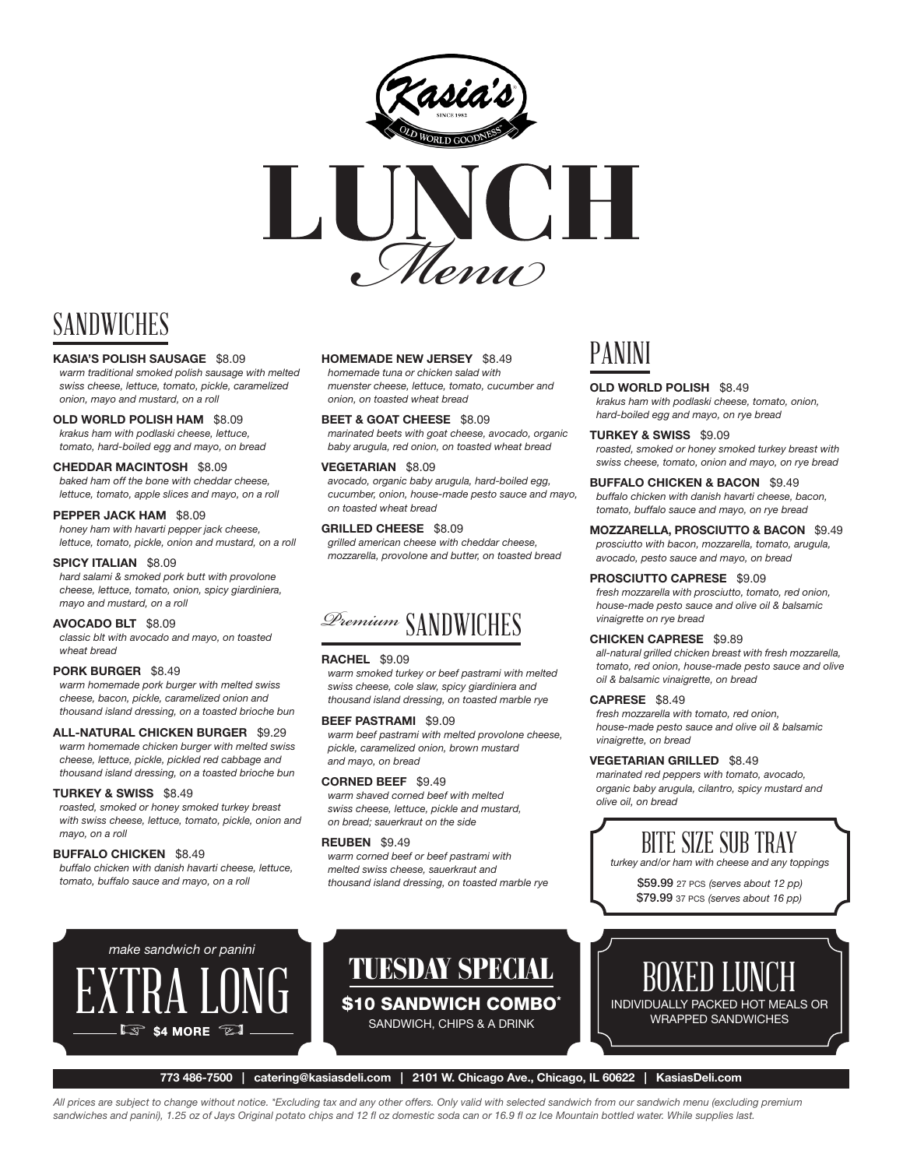



# SANDWICHES

#### KASIA'S POLISH SAUSAGE \$8.09

*warm traditional smoked polish sausage with melted swiss cheese, lettuce, tomato, pickle, caramelized onion, mayo and mustard, on a roll*

#### OLD WORLD POLISH HAM \$8.09

*krakus ham with podlaski cheese, lettuce, tomato, hard-boiled egg and mayo, on bread*

#### CHEDDAR MACINTOSH \$8.09

*baked ham off the bone with cheddar cheese, lettuce, tomato, apple slices and mayo, on a roll*

#### PEPPER JACK HAM \$8.09

*honey ham with havarti pepper jack cheese, lettuce, tomato, pickle, onion and mustard, on a roll* 

#### SPICY ITALIAN \$8.09

*hard salami & smoked pork butt with provolone cheese, lettuce, tomato, onion, spicy giardiniera, mayo and mustard, on a roll*

#### AVOCADO BLT \$8.09

*classic blt with avocado and mayo, on toasted wheat bread* 

#### PORK BURGER \$8.49

*warm homemade pork burger with melted swiss cheese, bacon, pickle, caramelized onion and thousand island dressing, on a toasted brioche bun*

#### ALL-NATURAL CHICKEN BURGER \$9.29

*warm homemade chicken burger with melted swiss cheese, lettuce, pickle, pickled red cabbage and thousand island dressing, on a toasted brioche bun*

#### TURKEY & SWISS \$8.49

*roasted, smoked or honey smoked turkey breast with swiss cheese, lettuce, tomato, pickle, onion and mayo, on a roll*

#### BUFFALO CHICKEN \$8.49

*buffalo chicken with danish havarti cheese, lettuce, tomato, buffalo sauce and mayo, on a roll*

*make sandwich or panini*

\$4 MORE  $\mathbb{Z}$ 

#### HOMEMADE NEW JERSEY \$8.49

*homemade tuna or chicken salad with muenster cheese, lettuce, tomato, cucumber and onion, on toasted wheat bread*

BEET & GOAT CHEESE \$8.09 *marinated beets with goat cheese, avocado, organic baby arugula, red onion, on toasted wheat bread*

#### VEGETARIAN \$8.09

*avocado, organic baby arugula, hard-boiled egg, cucumber, onion, house-made pesto sauce and mayo, on toasted wheat bread* 

#### GRILLED CHEESE \$8.09

*grilled american cheese with cheddar cheese, mozzarella, provolone and butter, on toasted bread*

### *Premium* SANDWICHES

#### RACHEL \$9.09

*warm smoked turkey or beef pastrami with melted swiss cheese, cole slaw, spicy giardiniera and thousand island dressing, on toasted marble rye* 

#### BEEF PASTRAMI \$9.09

*warm beef pastrami with melted provolone cheese, pickle, caramelized onion, brown mustard and mayo, on bread* 

#### CORNED BEEF \$9.49

*warm shaved corned beef with melted swiss cheese, lettuce, pickle and mustard, on bread; sauerkraut on the side* 

#### REUBEN \$9.49

*warm corned beef or beef pastrami with melted swiss cheese, sauerkraut and thousand island dressing, on toasted marble rye*

### PANINI

#### OLD WORLD POLISH \$8.49

*krakus ham with podlaski cheese, tomato, onion, hard-boiled egg and mayo, on rye bread*

#### TURKEY & SWISS \$9.09

*roasted, smoked or honey smoked turkey breast with swiss cheese, tomato, onion and mayo, on rye bread*

#### BUFFALO CHICKEN & BACON \$9.49

*buffalo chicken with danish havarti cheese, bacon, tomato, buffalo sauce and mayo, on rye bread*

#### MOZZARELLA, PROSCIUTTO & BACON \$9.49 *prosciutto with bacon, mozzarella, tomato, arugula, avocado, pesto sauce and mayo, on bread*

#### PROSCIUTTO CAPRESE \$9.09

*fresh mozzarella with prosciutto, tomato, red onion, house-made pesto sauce and olive oil & balsamic vinaigrette on rye bread*

#### CHICKEN CAPRESE \$9.89

*all-natural grilled chicken breast with fresh mozzarella, tomato, red onion, house-made pesto sauce and olive oil & balsamic vinaigrette, on bread*

#### CAPRESE \$8.49

*fresh mozzarella with tomato, red onion, house-made pesto sauce and olive oil & balsamic vinaigrette, on bread*

#### VEGETARIAN GRILLED \$8.49

*marinated red peppers with tomato, avocado, organic baby arugula, cilantro, spicy mustard and olive oil, on bread*

### BITE SIZE SUB TRAY

*turkey and/or ham with cheese and any toppings*

\$59.99 27 pcs *(serves about 12 pp)* \$79.99 37 pcs *(serves about 16 pp)*



773 486-7500 | catering@kasiasdeli.com | 2101 W. Chicago Ave., Chicago, IL 60622 | KasiasDeli.com

TUESDAY SPECIAL

\$10 SANDWICH COMBO\* SANDWICH, CHIPS & A DRINK

*All prices are subject to change without notice. \*Excluding tax and any other offers. Only valid with selected sandwich from our sandwich menu (excluding premium sandwiches and panini), 1.25 oz of Jays Original potato chips and 12 fl oz domestic soda can or 16.9 fl oz Ice Mountain bottled water. While supplies last.*